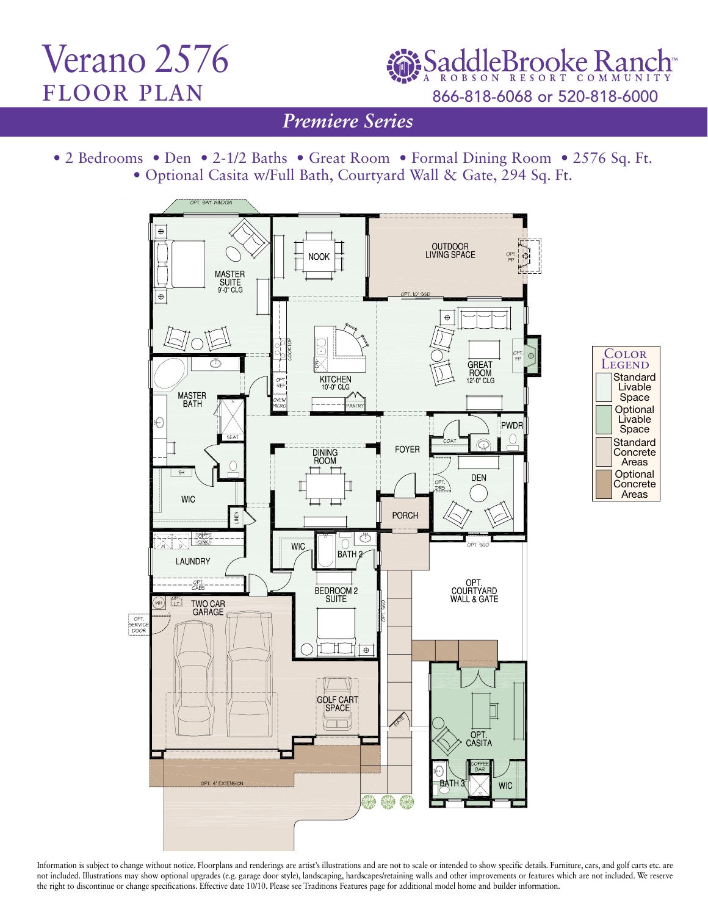## Verano 2576 floor plan

SaddleBrooke Ran 866-818-6068 or 520-818-6000

*Traditions Series Premiere Series*

• 2 Bedrooms • Den • 2-1/2 Baths • Great Room • Formal Dining Room • 2576 Sq. Ft. • Optional Casita w/Full Bath, Courtyard Wall & Gate, 294 Sq. Ft.





Information is subject to change without notice. Floorplans and renderings are artist's illustrations and are not to scale or intended to show specific details. Furniture, cars, and golf carts etc. are not included. Illustrations may show optional upgrades (e.g. garage door style), landscaping, hardscapes/retaining walls and other improvements or features which are not included. We reserve the right to discontinue or change specifications. Effective date 10/10. Please see Traditions Features page for additional model home and builder information.